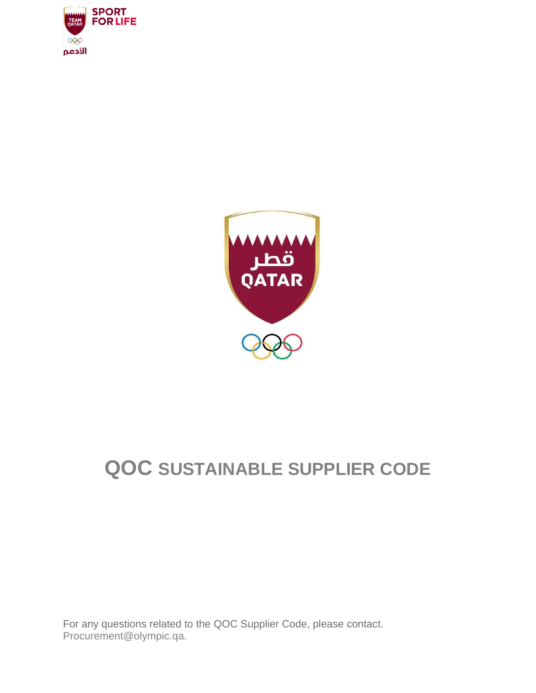



# **QOC SUSTAINABLE SUPPLIER CODE**

For any questions related to the QOC Supplier Code, please contact. Procurement@olympic.qa.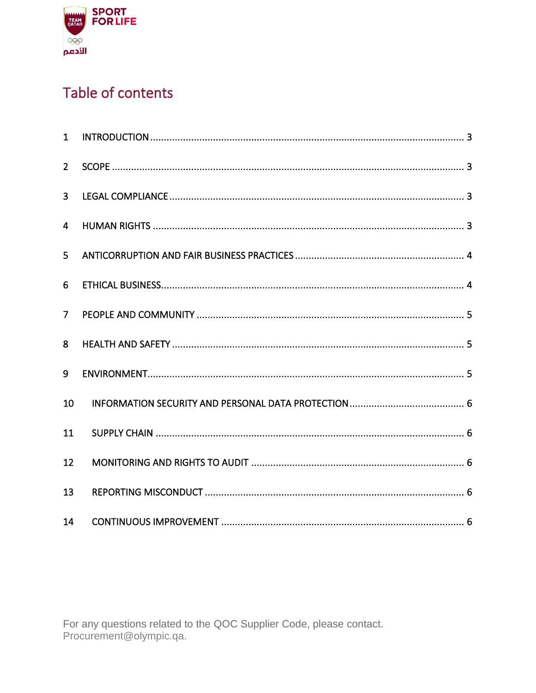

## Table of contents

| $\mathbf{1}$   |  |
|----------------|--|
| 2 <sup>1</sup> |  |
| $\overline{3}$ |  |
| $\overline{4}$ |  |
| 5              |  |
| 6              |  |
| $\overline{7}$ |  |
| 8              |  |
| 9              |  |
| 10             |  |
| 11             |  |
| 12             |  |
| 13             |  |
| 14             |  |

For any questions related to the QOC Supplier Code, please contact. Procurement@olympic.qa.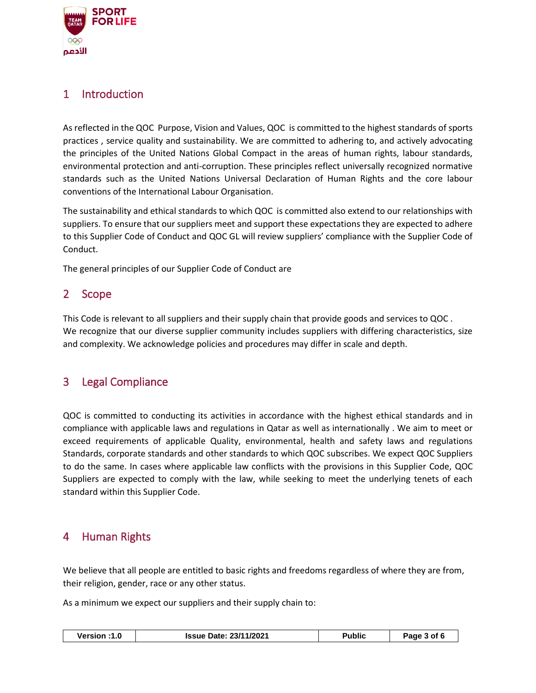

## <span id="page-2-0"></span>1 Introduction

As reflected in the QOC Purpose, Vision and Values, QOC is committed to the highest standards of sports practices , service quality and sustainability. We are committed to adhering to, and actively advocating the principles of the United Nations Global Compact in the areas of human rights, labour standards, environmental protection and anti-corruption. These principles reflect universally recognized normative standards such as the United Nations Universal Declaration of Human Rights and the core labour conventions of the International Labour Organisation.

The sustainability and ethical standards to which QOC is committed also extend to our relationships with suppliers. To ensure that our suppliers meet and support these expectations they are expected to adhere to this Supplier Code of Conduct and QOC GL will review suppliers' compliance with the Supplier Code of Conduct.

The general principles of our Supplier Code of Conduct are

## <span id="page-2-1"></span>2 Scope

This Code is relevant to all suppliers and their supply chain that provide goods and services to QOC . We recognize that our diverse supplier community includes suppliers with differing characteristics, size and complexity. We acknowledge policies and procedures may differ in scale and depth.

## <span id="page-2-2"></span>3 Legal Compliance

QOC is committed to conducting its activities in accordance with the highest ethical standards and in compliance with applicable laws and regulations in Qatar as well as internationally . We aim to meet or exceed requirements of applicable Quality, environmental, health and safety laws and regulations Standards, corporate standards and other standards to which QOC subscribes. We expect QOC Suppliers to do the same. In cases where applicable law conflicts with the provisions in this Supplier Code, QOC Suppliers are expected to comply with the law, while seeking to meet the underlying tenets of each standard within this Supplier Code.

## <span id="page-2-3"></span>4 Human Rights

We believe that all people are entitled to basic rights and freedoms regardless of where they are from, their religion, gender, race or any other status.

As a minimum we expect our suppliers and their supply chain to:

| Version :1.0 | <b>Issue Date: 23/11/2021</b> | Public | Page 3 of 6 |
|--------------|-------------------------------|--------|-------------|
|--------------|-------------------------------|--------|-------------|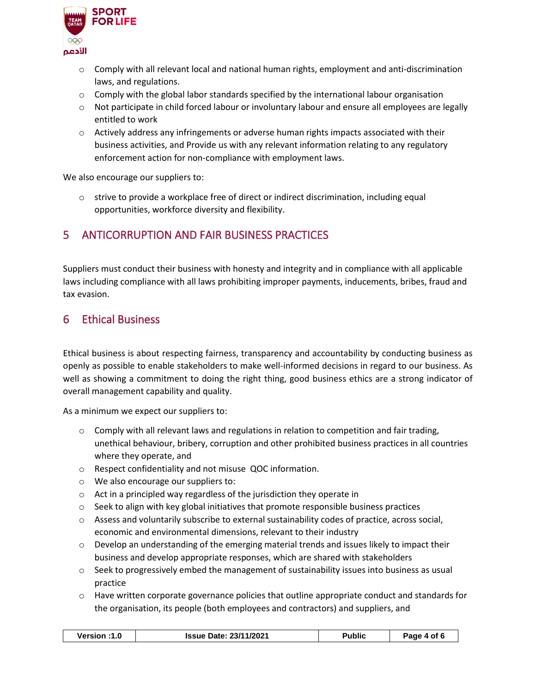

- $\circ$  Comply with all relevant local and national human rights, employment and anti-discrimination laws, and regulations.
- $\circ$  Comply with the global labor standards specified by the international labour organisation
- $\circ$  Not participate in child forced labour or involuntary labour and ensure all employees are legally entitled to work
- $\circ$  Actively address any infringements or adverse human rights impacts associated with their business activities, and Provide us with any relevant information relating to any regulatory enforcement action for non-compliance with employment laws.

We also encourage our suppliers to:

 $\circ$  strive to provide a workplace free of direct or indirect discrimination, including equal opportunities, workforce diversity and flexibility.

## <span id="page-3-0"></span>5 ANTICORRUPTION AND FAIR BUSINESS PRACTICES

Suppliers must conduct their business with honesty and integrity and in compliance with all applicable laws including compliance with all laws prohibiting improper payments, inducements, bribes, fraud and tax evasion.

## <span id="page-3-1"></span>6 Ethical Business

Ethical business is about respecting fairness, transparency and accountability by conducting business as openly as possible to enable stakeholders to make well-informed decisions in regard to our business. As well as showing a commitment to doing the right thing, good business ethics are a strong indicator of overall management capability and quality.

As a minimum we expect our suppliers to:

- $\circ$  Comply with all relevant laws and regulations in relation to competition and fair trading, unethical behaviour, bribery, corruption and other prohibited business practices in all countries where they operate, and
- o Respect confidentiality and not misuse QOC information.
- o We also encourage our suppliers to:
- o Act in a principled way regardless of the jurisdiction they operate in
- $\circ$  Seek to align with key global initiatives that promote responsible business practices
- o Assess and voluntarily subscribe to external sustainability codes of practice, across social, economic and environmental dimensions, relevant to their industry
- $\circ$  Develop an understanding of the emerging material trends and issues likely to impact their business and develop appropriate responses, which are shared with stakeholders
- $\circ$  Seek to progressively embed the management of sustainability issues into business as usual practice
- $\circ$  Have written corporate governance policies that outline appropriate conduct and standards for the organisation, its people (both employees and contractors) and suppliers, and

| <b>Issue Date: 23/11/2021</b><br><b>Version</b> :1<br>Page 4 of 6<br>'ublic |
|-----------------------------------------------------------------------------|
|-----------------------------------------------------------------------------|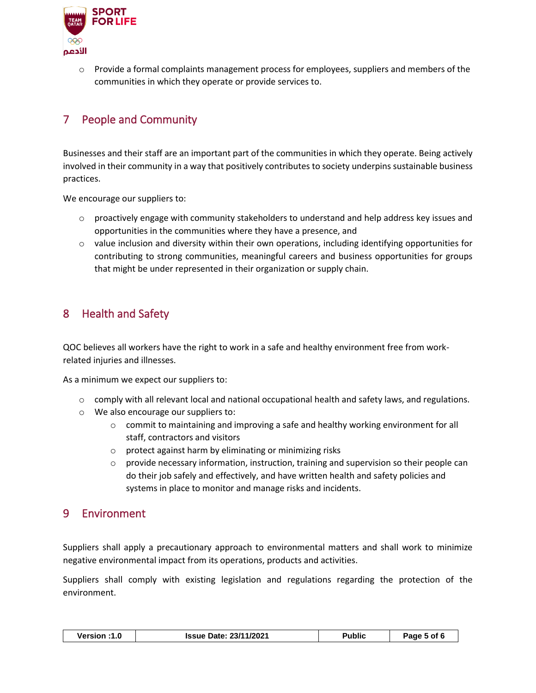

 $\circ$  Provide a formal complaints management process for employees, suppliers and members of the communities in which they operate or provide services to.

## <span id="page-4-0"></span>7 People and Community

Businesses and their staff are an important part of the communities in which they operate. Being actively involved in their community in a way that positively contributes to society underpins sustainable business practices.

We encourage our suppliers to:

- $\circ$  proactively engage with community stakeholders to understand and help address key issues and opportunities in the communities where they have a presence, and
- $\circ$  value inclusion and diversity within their own operations, including identifying opportunities for contributing to strong communities, meaningful careers and business opportunities for groups that might be under represented in their organization or supply chain.

## <span id="page-4-1"></span>8 Health and Safety

QOC believes all workers have the right to work in a safe and healthy environment free from workrelated injuries and illnesses.

As a minimum we expect our suppliers to:

- $\circ$  comply with all relevant local and national occupational health and safety laws, and regulations.
- o We also encourage our suppliers to:
	- $\circ$  commit to maintaining and improving a safe and healthy working environment for all staff, contractors and visitors
	- o protect against harm by eliminating or minimizing risks
	- $\circ$  provide necessary information, instruction, training and supervision so their people can do their job safely and effectively, and have written health and safety policies and systems in place to monitor and manage risks and incidents.

## <span id="page-4-2"></span>9 Environment

Suppliers shall apply a precautionary approach to environmental matters and shall work to minimize negative environmental impact from its operations, products and activities.

Suppliers shall comply with existing legislation and regulations regarding the protection of the environment.

| Version :1.0 | <b>Issue Date: 23/11/2021</b> | Public | Page 5 of 6 |
|--------------|-------------------------------|--------|-------------|
|--------------|-------------------------------|--------|-------------|